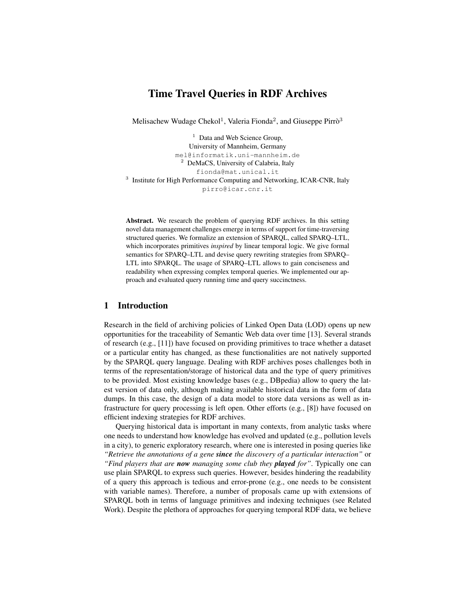# Time Travel Queries in RDF Archives

Melisachew Wudage Chekol<sup>1</sup>, Valeria Fionda<sup>2</sup>, and Giuseppe Pirrò<sup>3</sup>

 $<sup>1</sup>$  Data and Web Science Group,</sup> University of Mannheim, Germany mel@informatik.uni-mannheim.de <sup>2</sup> DeMaCS, University of Calabria, Italy fionda@mat.unical.it <sup>3</sup> Institute for High Performance Computing and Networking, ICAR-CNR, Italy pirro@icar.cnr.it

Abstract. We research the problem of querying RDF archives. In this setting novel data management challenges emerge in terms of support for time-traversing structured queries. We formalize an extension of SPARQL, called SPARQ–LTL, which incorporates primitives *inspired* by linear temporal logic. We give formal semantics for SPARQ–LTL and devise query rewriting strategies from SPARQ– LTL into SPARQL. The usage of SPARQ–LTL allows to gain conciseness and readability when expressing complex temporal queries. We implemented our approach and evaluated query running time and query succinctness.

## 1 Introduction

Research in the field of archiving policies of Linked Open Data (LOD) opens up new opportunities for the traceability of Semantic Web data over time [13]. Several strands of research (e.g., [11]) have focused on providing primitives to trace whether a dataset or a particular entity has changed, as these functionalities are not natively supported by the SPARQL query language. Dealing with RDF archives poses challenges both in terms of the representation/storage of historical data and the type of query primitives to be provided. Most existing knowledge bases (e.g., DBpedia) allow to query the latest version of data only, although making available historical data in the form of data dumps. In this case, the design of a data model to store data versions as well as infrastructure for query processing is left open. Other efforts (e.g., [8]) have focused on efficient indexing strategies for RDF archives.

Querying historical data is important in many contexts, from analytic tasks where one needs to understand how knowledge has evolved and updated (e.g., pollution levels in a city), to generic exploratory research, where one is interested in posing queries like *"Retrieve the annotations of a gene since the discovery of a particular interaction"* or *"Find players that are now managing some club they played for"*. Typically one can use plain SPARQL to express such queries. However, besides hindering the readability of a query this approach is tedious and error-prone (e.g., one needs to be consistent with variable names). Therefore, a number of proposals came up with extensions of SPARQL both in terms of language primitives and indexing techniques (see Related Work). Despite the plethora of approaches for querying temporal RDF data, we believe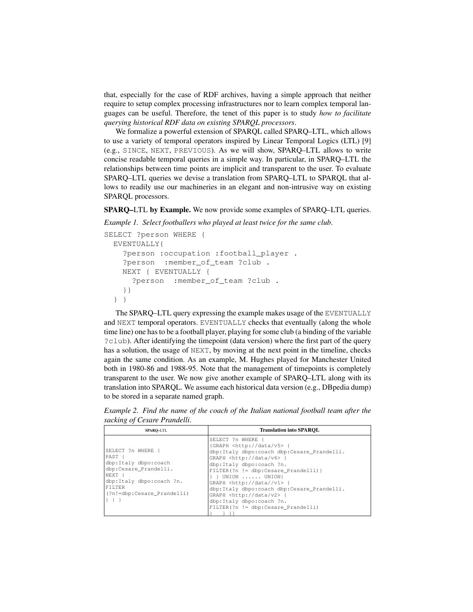that, especially for the case of RDF archives, having a simple approach that neither require to setup complex processing infrastructures nor to learn complex temporal languages can be useful. Therefore, the tenet of this paper is to study *how to facilitate querying historical RDF data on existing SPARQL processors*.

We formalize a powerful extension of SPARQL called SPARQ–LTL, which allows to use a variety of temporal operators inspired by Linear Temporal Logics (LTL) [9] (e.g., SINCE, NEXT, PREVIOUS). As we will show, SPARQ–LTL allows to write concise readable temporal queries in a simple way. In particular, in SPARQ–LTL the relationships between time points are implicit and transparent to the user. To evaluate SPARQ–LTL queries we devise a translation from SPARQ–LTL to SPARQL that allows to readily use our machineries in an elegant and non-intrusive way on existing SPARQL processors.

SPARQ–LTL by Example. We now provide some examples of SPARQ–LTL queries.

*Example 1. Select footballers who played at least twice for the same club*.

```
SELECT ?person WHERE {
EVENTUALLY{
   ?person :occupation :football_player .
   ?person :member_of_team ?club .
   NEXT { EVENTUALLY {
     ?person :member_of_team ?club .
   }}
 } }
```
The SPARQ–LTL query expressing the example makes usage of the EVENTUALLY and NEXT temporal operators. EVENTUALLY checks that eventually (along the whole time line) one has to be a football player, playing for some club (a binding of the variable ?club). After identifying the timepoint (data version) where the first part of the query has a solution, the usage of NEXT, by moving at the next point in the timeline, checks again the same condition. As an example, M. Hughes played for Manchester United both in 1980-86 and 1988-95. Note that the management of timepoints is completely transparent to the user. We now give another example of SPARQ–LTL along with its translation into SPARQL. We assume each historical data version (e.g., DBpedia dump) to be stored in a separate named graph.

*Example 2. Find the name of the coach of the Italian national football team after the sacking of Cesare Prandelli*.

| <b>SPARO-LTL</b>                                                                                                                                           | <b>Translation into SPAROL</b>                                                                                                                                                                                                                                                                                                                                                                                                                                                    |
|------------------------------------------------------------------------------------------------------------------------------------------------------------|-----------------------------------------------------------------------------------------------------------------------------------------------------------------------------------------------------------------------------------------------------------------------------------------------------------------------------------------------------------------------------------------------------------------------------------------------------------------------------------|
| SELECT ?n WHERE {<br>PAST {<br>dbp:Italy dbpo:coach<br>dbp:Cesare Prandelli.<br>NEXT {<br>dbp:Italy dbpo:coach ?n.<br>FILTER<br>(?n!=dbp:Cesare Prandelli) | SELECT ?n WHERE {<br>{GRAPH <http: data="" v5=""> {<br/>dbp:Italy dbpo:coach dbp:Cesare_Prandelli.<br/>GRAPH <http: data="" v6=""> {<br/>dbp:Italy dbpo:coach ?n.<br/><math>FILTER(?n := dbp: Cesare Prandelli)</math><br/><math>\}</math> } UNION  UNION{<br/>GRAPH <http: data="" v1=""> {<br/>dbp:Italy dbpo:coach dbp:Cesare Prandelli.<br/>GRAPH <http: data="" v2=""> {<br/>dbp:Italy dbpo:coach ?n.<br/>FILTER(?n != dbp:Cesare Prandelli)</http:></http:></http:></http:> |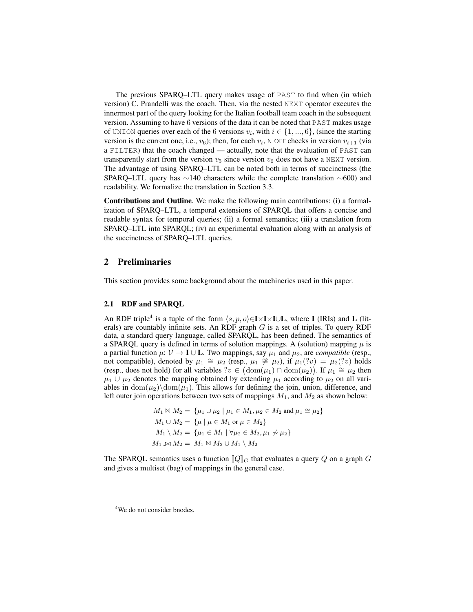The previous SPARQ–LTL query makes usage of PAST to find when (in which version) C. Prandelli was the coach. Then, via the nested NEXT operator executes the innermost part of the query looking for the Italian football team coach in the subsequent version. Assuming to have 6 versions of the data it can be noted that PAST makes usage of UNION queries over each of the 6 versions  $v_i$ , with  $i \in \{1, ..., 6\}$ , (since the starting version is the current one, i.e.,  $v_6$ ); then, for each  $v_i$ , NEXT checks in version  $v_{i+1}$  (via a FILTER) that the coach changed — actually, note that the evaluation of PAST can transparently start from the version  $v_5$  since version  $v_6$  does not have a NEXT version. The advantage of using SPARQ–LTL can be noted both in terms of succinctness (the SPARQ–LTL query has ∼140 characters while the complete translation ∼600) and readability. We formalize the translation in Section 3.3.

Contributions and Outline. We make the following main contributions: (i) a formalization of SPARQ–LTL, a temporal extensions of SPARQL that offers a concise and readable syntax for temporal queries; (ii) a formal semantics; (iii) a translation from SPARQ–LTL into SPARQL; (iv) an experimental evaluation along with an analysis of the succinctness of SPARQ–LTL queries.

### 2 Preliminaries

This section provides some background about the machineries used in this paper.

#### 2.1 RDF and SPARQL

An RDF triple<sup>4</sup> is a tuple of the form  $\langle s, p, o \rangle \in I \times I \times I \cup L$ , where I (IRIs) and L (literals) are countably infinite sets. An RDF graph  $G$  is a set of triples. To query RDF data, a standard query language, called SPARQL, has been defined. The semantics of a SPARQL query is defined in terms of solution mappings. A (solution) mapping  $\mu$  is a partial function  $\mu: \mathcal{V} \to \mathbf{I} \cup \mathbf{L}$ . Two mappings, say  $\mu_1$  and  $\mu_2$ , are *compatible* (resp., not compatible), denoted by  $\mu_1 \cong \mu_2$  (resp.,  $\mu_1 \ncong \mu_2$ ), if  $\mu_1$  $(?v) = \mu_2$  $(?v)$  holds (resp., does not hold) for all variables  $?v \in (\text{dom}(\mu_1) \cap \text{dom}(\mu_2))$ . If  $\mu_1 \cong \mu_2$  then  $\mu_1 \cup \mu_2$  denotes the mapping obtained by extending  $\mu_1$  according to  $\mu_2$  on all variables in  $\text{dom}(\mu_2) \cdot \text{dom}(\mu_1)$ . This allows for defining the join, union, difference, and left outer join operations between two sets of mappings  $M_1$ , and  $M_2$  as shown below:

$$
M_1 \bowtie M_2 = \{ \mu_1 \cup \mu_2 \mid \mu_1 \in M_1, \mu_2 \in M_2 \text{ and } \mu_1 \cong \mu_2 \}
$$
  
\n
$$
M_1 \cup M_2 = \{ \mu \mid \mu \in M_1 \text{ or } \mu \in M_2 \}
$$
  
\n
$$
M_1 \setminus M_2 = \{ \mu_1 \in M_1 \mid \forall \mu_2 \in M_2, \mu_1 \not\sim \mu_2 \}
$$
  
\n
$$
M_1 \bowtie M_2 = M_1 \bowtie M_2 \cup M_1 \setminus M_2
$$

The SPARQL semantics uses a function  $\llbracket Q \rrbracket_G$  that evaluates a query Q on a graph G and gives a multiset (bag) of mappings in the general case.

<sup>&</sup>lt;sup>4</sup>We do not consider bnodes.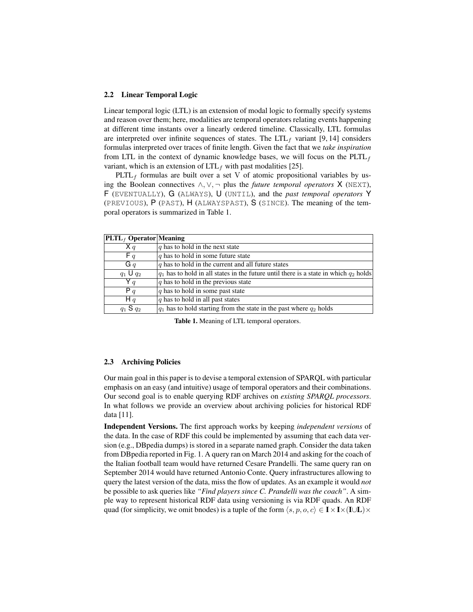#### 2.2 Linear Temporal Logic

Linear temporal logic (LTL) is an extension of modal logic to formally specify systems and reason over them; here, modalities are temporal operators relating events happening at different time instants over a linearly ordered timeline. Classically, LTL formulas are interpreted over infinite sequences of states. The  $LTL<sub>f</sub>$  variant [9, 14] considers formulas interpreted over traces of finite length. Given the fact that we *take inspiration* from LTL in the context of dynamic knowledge bases, we will focus on the  $PLTL<sub>f</sub>$ variant, which is an extension of  $LTL_f$  with past modalities [25].

 $PLTL<sub>f</sub>$  formulas are built over a set V of atomic propositional variables by using the Boolean connectives ∧, ∨, ¬ plus the *future temporal operators* X (NEXT), F (EVENTUALLY), G (ALWAYS), U (UNTIL), and the *past temporal operators* Y (PREVIOUS), P (PAST), H (ALWAYSPAST), S (SINCE). The meaning of the temporal operators is summarized in Table 1.

| $ PLTL_f$ Operator Meaning |                                                                                           |
|----------------------------|-------------------------------------------------------------------------------------------|
| X q                        | $\alpha$ has to hold in the next state                                                    |
| F q                        | $\alpha$ has to hold in some future state                                                 |
| $G_q$                      | $ q$ has to hold in the current and all future states                                     |
| $q_1 \mathsf{U} q_2$       | $q_1$ has to hold in all states in the future until there is a state in which $q_2$ holds |
| Y q                        | $q$ has to hold in the previous state                                                     |
| P q                        | $q$ has to hold in some past state                                                        |
| Hq                         | $q$ has to hold in all past states                                                        |
| $q_1$ S $q_2$              | $ q_1 $ has to hold starting from the state in the past where $q_2$ holds                 |

Table 1. Meaning of LTL temporal operators.

#### 2.3 Archiving Policies

Our main goal in this paper is to devise a temporal extension of SPARQL with particular emphasis on an easy (and intuitive) usage of temporal operators and their combinations. Our second goal is to enable querying RDF archives on *existing SPARQL processors*. In what follows we provide an overview about archiving policies for historical RDF data [11].

Independent Versions. The first approach works by keeping *independent versions* of the data. In the case of RDF this could be implemented by assuming that each data version (e.g., DBpedia dumps) is stored in a separate named graph. Consider the data taken from DBpedia reported in Fig. 1. A query ran on March 2014 and asking for the coach of the Italian football team would have returned Cesare Prandelli. The same query ran on September 2014 would have returned Antonio Conte. Query infrastructures allowing to query the latest version of the data, miss the flow of updates. As an example it would *not* be possible to ask queries like *"Find players since C. Prandelli was the coach"*. A simple way to represent historical RDF data using versioning is via RDF quads. An RDF quad (for simplicity, we omit bnodes) is a tuple of the form  $\langle s, p, o, c \rangle \in I \times I \times (I \cup L) \times$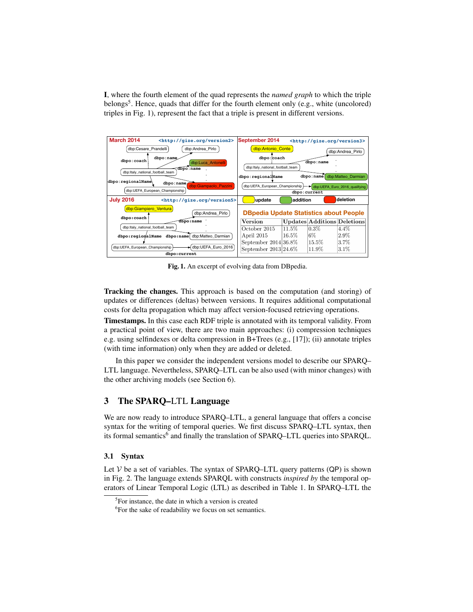I, where the fourth element of the quad represents the *named graph* to which the triple belongs<sup>5</sup>. Hence, quads that differ for the fourth element only (e.g., white (uncolored) triples in Fig. 1), represent the fact that a triple is present in different versions.



Fig. 1. An excerpt of evolving data from DBpedia.

Tracking the changes. This approach is based on the computation (and storing) of updates or differences (deltas) between versions. It requires additional computational costs for delta propagation which may affect version-focused retrieving operations.

Timestamps. In this case each RDF triple is annotated with its temporal validity. From a practical point of view, there are two main approaches: (i) compression techniques e.g. using selfindexes or delta compression in B+Trees (e.g., [17]); (ii) annotate triples (with time information) only when they are added or deleted.

In this paper we consider the independent versions model to describe our SPARQ– LTL language. Nevertheless, SPARQ–LTL can be also used (with minor changes) with the other archiving models (see Section 6).

### 3 The SPARQ–LTL Language

We are now ready to introduce SPARQ–LTL, a general language that offers a concise syntax for the writing of temporal queries. We first discuss SPARQ–LTL syntax, then its formal semantics<sup>6</sup> and finally the translation of SPARQ-LTL queries into SPARQL.

#### 3.1 Syntax

Let  $V$  be a set of variables. The syntax of SPARQ–LTL query patterns (QP) is shown in Fig. 2. The language extends SPARQL with constructs *inspired by* the temporal operators of Linear Temporal Logic (LTL) as described in Table 1. In SPARQ–LTL the

<sup>&</sup>lt;sup>5</sup>For instance, the date in which a version is created

<sup>&</sup>lt;sup>6</sup>For the sake of readability we focus on set semantics.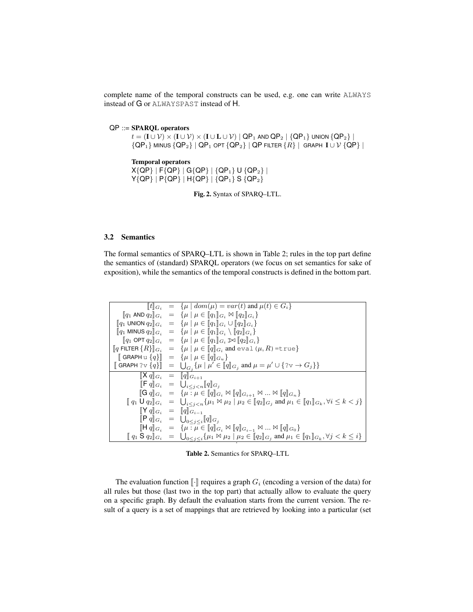complete name of the temporal constructs can be used, e.g. one can write ALWAYS instead of G or ALWAYSPAST instead of H.

QP ::= SPARQL operators  $t = (I \cup \mathcal{V}) \times (I \cup \mathcal{V}) \times (I \cup L \cup \mathcal{V}) | QP_1$  and  $QP_2 | QP_1$  union  ${QP_2} |$  ${QP_1}$  minus  ${QP_2}$  |  ${QP_1}$  opt  ${QP_2}$  |  ${QP}$  filter  ${R}$  | Graph  $I \cup V$   ${QP}$  |

Temporal operators  $X{QP}$  | F{QP} | G{QP} | {QP<sub>1</sub>} U {QP<sub>2</sub>} |  $Y{QP}$  |  $P{QP}$  |  $H{QP}$  |  ${QP_1}$  S  ${QP_2}$ 

Fig. 2. Syntax of SPARQ–LTL.

### 3.2 Semantics

The formal semantics of SPARQ–LTL is shown in Table 2; rules in the top part define the semantics of (standard) SPARQL operators (we focus on set semantics for sake of exposition), while the semantics of the temporal constructs is defined in the bottom part.

|                                              | $[[t]]_{G_i} = {\mu   dom(\mu) = var(t) \text{ and } \mu(t) \in G_i}$                                                                                                                                                              |
|----------------------------------------------|------------------------------------------------------------------------------------------------------------------------------------------------------------------------------------------------------------------------------------|
|                                              | $[ q_1 \text{ AND } q_2 ]_{G_i} = \{ \mu \mid \mu \in [ q_1 ]_{G_i} \bowtie [ q_2 ]_{G_i} \}$                                                                                                                                      |
|                                              | $[\![q_1 \cup N \cup N] \, q_2]\!]_{G_i} = \{ \mu \mid \mu \in [\![q_1]\!]_{G_i} \cup [\![q_2]\!]_{G_i} \}$                                                                                                                        |
|                                              | $[ q_1 \text{ MINUS } q_2 ]  _{G_i} = { \mu   \mu \in [q_1]  _{G_i} \setminus [q_2]  _{G_i} }$                                                                                                                                     |
|                                              | $[ q_1 \text{ OPT } q_2 ]  _{G_i} = \{ \mu \mid \mu \in [ q_1 ]  _{G_i} \bowtie [ q_2 ]  _{G_i} \}$                                                                                                                                |
|                                              | $[\![q \text{ FILTER} \{R\}]\!]_{G_i} = \{\mu \mid \mu \in [\![q]\!]_{G_i} \text{ and } \text{eval} \left(\mu, R\right) = \text{true}\}$                                                                                           |
|                                              | $\ \Theta$ GRAPH u $\{q\}\  = \{\mu \mid \mu \in \ q\ _{G_{\mu}}\}$                                                                                                                                                                |
|                                              |                                                                                                                                                                                                                                    |
| $[\![X \, q]\!]_{G_i} = [\![q]\!]_{G_{i+1}}$ |                                                                                                                                                                                                                                    |
|                                              | $[\![\mathsf{F}\, q]\!]_{G_i} = \bigcup_{i \leq j < n} [\![q]\!]_{G_j}$                                                                                                                                                            |
|                                              | $[\![G\,q]\!]_{G_i} = \{ \mu : \mu \in [\![q]\!]_{G_i} \bowtie [\![q]\!]_{G_{i+1}} \bowtie  \bowtie [\![q]\!]_{G_n} \}$                                                                                                            |
|                                              | $[\![\,q_1 \mathrel{\mathsf{U}} q_2 ]\!]_{G_i} \;\; = \;\; \bigcup\nolimits_{i \leq j < n} \{ \mu_1 \mathrel{\mathsf{M}} \mu_2 \mid \mu_2 \in [\![q_2]\!]_{G_j} \text{ and } \mu_1 \in [\![q_1]\!]_{G_k}, \forall i \leq k < j \}$ |
|                                              | $[\![\mathsf{Y} \, q]\!]_{G_i} = [\![q]\!]_{G_{i-1}}$                                                                                                                                                                              |
|                                              | $[\mathbb{P} q]_{G_i} = \bigcup_{0 \leq j \leq i} [q]_{G_j}$                                                                                                                                                                       |
|                                              | $[\![\mathsf{H} \, q]\!]_{G_i} = \{ \mu : \mu \in [\![q]\!]_{G_i} \bowtie [\![q]\!]_{G_{i-1}} \bowtie  \bowtie [\![q]\!]_{G_0} \}$                                                                                                 |
|                                              | $[\![\,q_1\;{\sf S}\;q_2]\!]_{G_i} \ \ = \ \ \bigcup_{0\leq j\leq i}\{\mu_1\bowtie \mu_2\mid \mu_2\in [\![q_2]\!]_{G_j} \text{ and } \mu_1\in [\![q_1]\!]_{G_k}, \forall j$                                                        |

Table 2. Semantics for SPARQ–LTL

The evaluation function  $\llbracket \cdot \rrbracket$  requires a graph  $G_i$  (encoding a version of the data) for all rules but those (last two in the top part) that actually allow to evaluate the query on a specific graph. By default the evaluation starts from the current version. The result of a query is a set of mappings that are retrieved by looking into a particular (set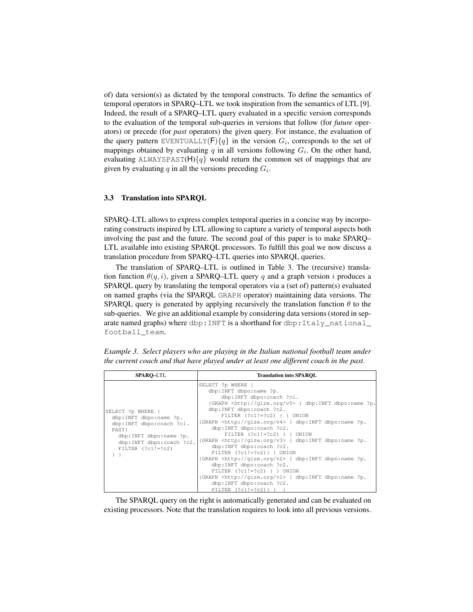of) data version(s) as dictated by the temporal constructs. To define the semantics of temporal operators in SPARQ–LTL we took inspiration from the semantics of LTL [9]. Indeed, the result of a SPARQ–LTL query evaluated in a specific version corresponds to the evaluation of the temporal sub-queries in versions that follow (for *future* operators) or precede (for *past* operators) the given query. For instance, the evaluation of the query pattern EVENTUALLY(F) ${q}$  in the version  $G_i$ , corresponds to the set of mappings obtained by evaluating  $q$  in all versions following  $G_i$ . On the other hand, evaluating ALWAYSPAST(H) ${q}$  would return the common set of mappings that are given by evaluating  $q$  in all the versions preceding  $G_i$ .

### 3.3 Translation into SPARQL

SPARQ–LTL allows to express complex temporal queries in a concise way by incorporating constructs inspired by LTL allowing to capture a variety of temporal aspects both involving the past and the future. The second goal of this paper is to make SPARQ– LTL available into existing SPARQL processors. To fulfill this goal we now discuss a translation procedure from SPARQ–LTL queries into SPARQL queries.

The translation of SPARQ–LTL is outlined in Table 3. The (recursive) translation function  $\theta(q, i)$ , given a SPARQ–LTL query q and a graph version i produces a SPARQL query by translating the temporal operators via a (set of) pattern(s) evaluated on named graphs (via the SPARQL GRAPH operator) maintaining data versions. The SPARQL query is generated by applying recursively the translation function  $\theta$  to the sub-queries. We give an additional example by considering data versions (stored in separate named graphs) where dbp: INFT is a shorthand for dbp: Italy\_national\_ football\_team.

*Example 3. Select players who are playing in the Italian national football team under the current coach and that have played under at least one different coach in the past*.

| <b>SPARO-LTL</b>                                                                                                                                                      | <b>Translation into SPAROL</b>                                                                                                                                                                                                                                                                                                                                                                                                                                                                                                                                                                                                                                                                                                                                                                                 |
|-----------------------------------------------------------------------------------------------------------------------------------------------------------------------|----------------------------------------------------------------------------------------------------------------------------------------------------------------------------------------------------------------------------------------------------------------------------------------------------------------------------------------------------------------------------------------------------------------------------------------------------------------------------------------------------------------------------------------------------------------------------------------------------------------------------------------------------------------------------------------------------------------------------------------------------------------------------------------------------------------|
| SELECT ?p WHERE {<br>dbp:INFT dbpo:name ?p.<br>dbp:INFT dbpo:coach ?c1.<br>PAST{<br>dbp:INFT dbpo:name ?p.<br>dbp:INFT dbpo:coach ?c2.<br>FILTER $(?c1!=?c2)$<br>$\}$ | SELECT ?p WHERE {<br>dbp:INFT dbpo:name ?p.<br>dbp:INFT dbpo:coach ?c1.<br>{GRAPH <http: qize.org="" v5=""> { dbp:INFT dbpo:name ?p.<br/>dbp:INFT dbpo:coach ?c2.<br/>FILTER <math>(?c1!=?c2)</math> } } UNION<br/>{GRAPH <http: qize.org="" v4=""> { dbp:INFT dbpo:name ?p.<br/>dbp:INFT dbpo:coach ?c2.<br/>FILTER <math>(?c1!=?c2)</math> } } UNION<br/>{GRAPH <http: qize.org="" v3=""> { dbp:INFT dbpo:name ?p.<br/>dbp:INFT dbpo:coach ?c2.<br/>FILTER <math>(?c1!=?c2)</math> } JNION<br/>{GRAPH <http: qize.org="" v2=""> { dbp:INFT dbpo:name ?p.<br/>dbp:INFT dbpo:coach ?c2.<br/>FILTER <math>(?c1!=?c2)</math> } } UNION<br/>{GRAPH <http: qize.org="" v1=""> { dbp:INFT dbpo:name ?p.<br/>dbp:INFT dbpo:coach ?c2.<br/>FILTER <math>(?c1!=?c2)</math> } }</http:></http:></http:></http:></http:> |

The SPARQL query on the right is automatically generated and can be evaluated on existing processors. Note that the translation requires to look into all previous versions.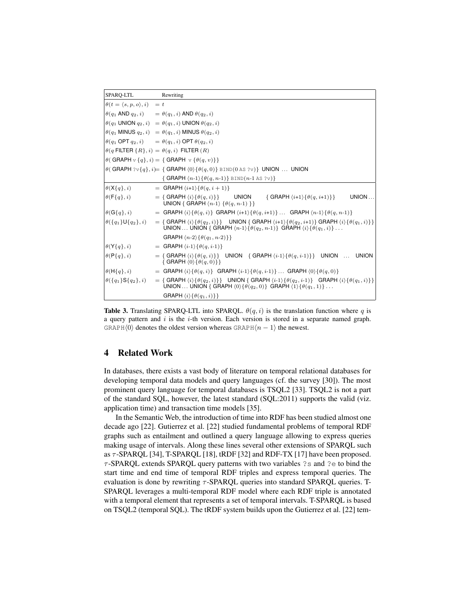| <b>SPARO-LTL</b>                                          | Rewriting                                                                                                                                                                                                                                                                                                         |
|-----------------------------------------------------------|-------------------------------------------------------------------------------------------------------------------------------------------------------------------------------------------------------------------------------------------------------------------------------------------------------------------|
| $\theta(t = \langle s, p, o \rangle, i) = t$              |                                                                                                                                                                                                                                                                                                                   |
|                                                           | $\theta(q_1 \text{ AND } q_2, i) = \theta(q_1, i) \text{ AND } \theta(q_2, i)$                                                                                                                                                                                                                                    |
|                                                           | $\theta(q_1 \text{ UNION } q_2, i) = \theta(q_1, i) \text{ UNION } \theta(q_2, i)$                                                                                                                                                                                                                                |
|                                                           | $\theta(q_1)$ MINUS $q_2, i) = \theta(q_1, i)$ MINUS $\theta(q_2, i)$                                                                                                                                                                                                                                             |
|                                                           | $\theta(q_1 \text{ OPT } q_2, i)$ = $\theta(q_1, i)$ OPT $\theta(q_2, i)$                                                                                                                                                                                                                                         |
|                                                           | $\theta(q$ FILTER $\{R\}, i) = \theta(q, i)$ FILTER $(R)$                                                                                                                                                                                                                                                         |
|                                                           | $\theta$ (GRAPH $\forall$ {q}, i) = {GRAPH $\forall$ { $\theta$ (q, v)}}                                                                                                                                                                                                                                          |
|                                                           | $\big \theta(\text{ GRAPH }:\forall\{q\},i)=\{\text{ GRAPH } \langle 0\rangle\{\theta(q,0)\}\}\ \text{bind}(0\ \text{as}\ ?\forall)\}\ \text{UNION}\ \dots\ \text{UNION}$                                                                                                                                         |
|                                                           | $\{ \text{ GRAPH } \langle n-1 \rangle \{ \theta(q,n-1) \} \text{ BIND}(n-1 \text{ AS } ?\text{v}) \}$                                                                                                                                                                                                            |
| $\vert \theta(X\{q\}, i) \vert$                           | $=$ GRAPH $\langle i+1\rangle$ { $\theta(q, i+1)$ }                                                                                                                                                                                                                                                               |
| $ \theta(\mathsf{F}{q}, i) $                              | $UNION$<br>$= \{ \text{ GRAPH } \langle i \rangle \{ \theta(q, i) \} \}$ UNION $\{ \text{GRAPH } \langle i+1 \rangle \{ \theta(q, i+1) \} \}$<br>UNION { GRAPH $(n-1)$ { $\theta(q, n-1)$ }}                                                                                                                      |
| $ \theta(\mathsf{G}{q\}, i) $                             | $=$ GRAPH $\langle i \rangle \{\theta(q, i)\}\$ GRAPH $\langle i+1 \rangle \{\theta(q, i+1)\}\dots$ GRAPH $\langle n-1 \rangle \{\theta(q, n-1)\}\$                                                                                                                                                               |
| $\theta$ ({q <sub>1</sub> }U{q <sub>2</sub> }, <i>i</i> ) | $= \{ \text{ GRAPH } \langle i \rangle \{ \theta(q_2, i) \} \}$ UNION $\{ \text{ GRAPH } \langle i+1 \rangle \{ \theta(q_2, i+1) \} \}$ GRAPH $\langle i \rangle \{ \theta(q_1, i) \} \}$<br>UNION  UNION { GRAPH $\langle n-1 \rangle$ { $\theta(q_2, n-1)$ } GRAPH $\langle i \rangle$ { $\theta(q_1, i)$ }     |
|                                                           | GRAPH $\langle n-2 \rangle$ { $\theta(q_1, n-2)$ }}                                                                                                                                                                                                                                                               |
| $\theta(Y\{q\}, i)$                                       | $=$ GRAPH $\langle i-1 \rangle \{ \theta(q, i-1) \}$                                                                                                                                                                                                                                                              |
| $ \theta(\mathsf{P}{q}, i) $                              | $=\{$ GRAPH $\langle i \rangle \{ \theta(q, i) \}$ UNION $\{$ GRAPH $\langle i-1 \rangle \{ \theta(q, i-1) \} \}$ UNION  UNION<br>{ GRAPH $\langle 0 \rangle$ { $\theta(q, 0)$ } }                                                                                                                                |
| $ \theta(\mathsf{H}{q}, i) $                              | $=$ GRAPH $\langle i \rangle \{ \theta(q, i) \}$ GRAPH $\langle i-1 \rangle \{ \theta(q, i-1) \} \dots$ GRAPH $\langle 0 \rangle \{ \theta(q, 0) \}$                                                                                                                                                              |
| $\theta({q_1}S{q_2}, i)$                                  | $= \{ \text{ GRAPH } \langle i \rangle \{ \theta(q_2, i) \} \}$ UNION $\{ \text{GRAPH } \langle i \cdot 1 \rangle \{ \theta(q_2, i \cdot 1) \}$ GRAPH $\langle i \rangle \{ \theta(q_1, i) \} \}$<br>UNION  UNION { GRAPH $\langle 0 \rangle$ { $\theta(q_2, 0)$ } GRAPH $\langle 1 \rangle$ { $\theta(q_1, 1)$ } |
|                                                           | GRAPH $\langle i \rangle \{\theta(q_1, i)\}\}$                                                                                                                                                                                                                                                                    |

**Table 3.** Translating SPARQ-LTL into SPARQL.  $\theta(q, i)$  is the translation function where q is a query pattern and  $i$  is the  $i$ -th version. Each version is stored in a separate named graph. GRAPH $\langle 0 \rangle$  denotes the oldest version whereas GRAPH $\langle n - 1 \rangle$  the newest.

## 4 Related Work

In databases, there exists a vast body of literature on temporal relational databases for developing temporal data models and query languages (cf. the survey [30]). The most prominent query language for temporal databases is TSQL2 [33]. TSQL2 is not a part of the standard SQL, however, the latest standard (SQL:2011) supports the valid (viz. application time) and transaction time models [35].

In the Semantic Web, the introduction of time into RDF has been studied almost one decade ago [22]. Gutierrez et al. [22] studied fundamental problems of temporal RDF graphs such as entailment and outlined a query language allowing to express queries making usage of intervals. Along these lines several other extensions of SPARQL such as τ -SPARQL [34], T-SPARQL [18], tRDF [32] and RDF-TX [17] have been proposed.  $\tau$ -SPARQL extends SPARQL query patterns with two variables ?s and ?e to bind the start time and end time of temporal RDF triples and express temporal queries. The evaluation is done by rewriting  $\tau$ -SPARQL queries into standard SPARQL queries. T-SPARQL leverages a multi-temporal RDF model where each RDF triple is annotated with a temporal element that represents a set of temporal intervals. T-SPARQL is based on TSQL2 (temporal SQL). The tRDF system builds upon the Gutierrez et al. [22] tem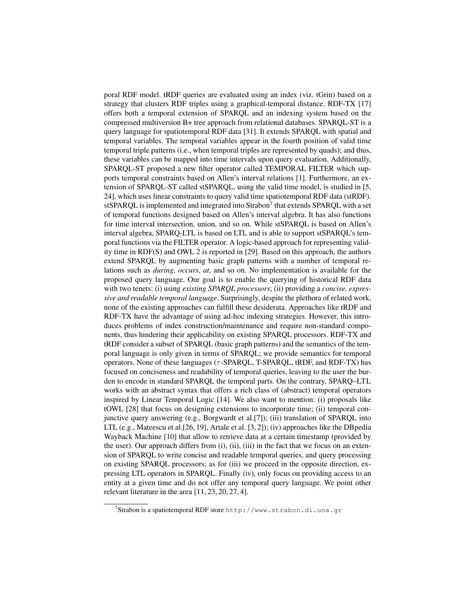poral RDF model. tRDF queries are evaluated using an index (viz. tGrin) based on a strategy that clusters RDF triples using a graphical-temporal distance. RDF-TX [17] offers both a temporal extension of SPARQL and an indexing system based on the compressed multiversion B+ tree approach from relational databases. SPARQL-ST is a query language for spatiotemporal RDF data [31]. It extends SPARQL with spatial and temporal variables. The temporal variables appear in the fourth position of valid time temporal triple patterns (i.e., when temporal triples are represented by quads); and thus, these variables can be mapped into time intervals upon query evaluation. Additionally, SPARQL-ST proposed a new filter operator called TEMPORAL FILTER which supports temporal constraints based on Allen's interval relations [1]. Furthermore, an extension of SPARQL-ST called stSPARQL, using the valid time model, is studied in [5, 24], which uses linear constraints to query valid time spatiotemporal RDF data (stRDF). stSPARQL is implemented and integrated into Strabon<sup>7</sup> that extends SPARQL with a set of temporal functions designed based on Allen's interval algebra. It has also functions for time interval intersection, union, and so on. While stSPARQL is based on Allen's interval algebra, SPARQ-LTL is based on LTL and is able to support stSPARQL's temporal functions via the FILTER operator. A logic-based approach for representing validity time in RDF(S) and OWL 2 is reported in [29]. Based on this approach, the authors extend SPARQL by augmenting basic graph patterns with a number of temporal relations such as *during*, *occurs*, *at*, and so on. No implementation is available for the proposed query language. Our goal is to enable the querying of historical RDF data with two tenets: (i) using *existing SPARQL processors*; (ii) providing a *concise, expressive and readable temporal language*. Surprisingly, despite the plethora of related work, none of the existing approaches can fulfill these desiderata. Approaches like tRDF and RDF-TX have the advantage of using ad-hoc indexing strategies. However, this introduces problems of index construction/maintenance and require non-standard components, thus hindering their applicability on existing SPARQL processors. RDF-TX and tRDF consider a subset of SPARQL (basic graph patterns) and the semantics of the temporal language is only given in terms of SPARQL; we provide semantics for temporal operators. None of these languages ( $\tau$ -SPARQL, T-SPARQL, tRDF, and RDF-TX) has focused on conciseness and readability of temporal queries, leaving to the user the burden to encode in standard SPARQL the temporal parts. On the contrary, SPARQ–LTL works with an abstract syntax that offers a rich class of (abstract) temporal operators inspired by Linear Temporal Logic [14]. We also want to mention: (i) proposals like tOWL [28] that focus on designing extensions to incorporate time; (ii) temporal conjunctive query answering (e.g., Borgwardt et al.[7]); (iii) translation of SPARQL into LTL (e.g., Mateescu et al.[26, 19], Artale et al. [3, 2]); (iv) approaches like the DBpedia Wayback Machine [10] that allow to retrieve data at a certain timestamp (provided by the user). Our approach differs from (i), (ii), (iii) in the fact that we focus on an extension of SPARQL to write concise and readable temporal queries, and query processing on existing SPARQL processors; as for (iii) we proceed in the opposite direction, expressing LTL operators in SPARQL. Finally (iv), only focus on providing access to an entity at a given time and do not offer any temporal query language. We point other relevant literature in the area [11, 23, 20, 27, 4].

 $^7$ Strabon is a spatiotemporal RDF store http://www.strabon.di.uoa.gr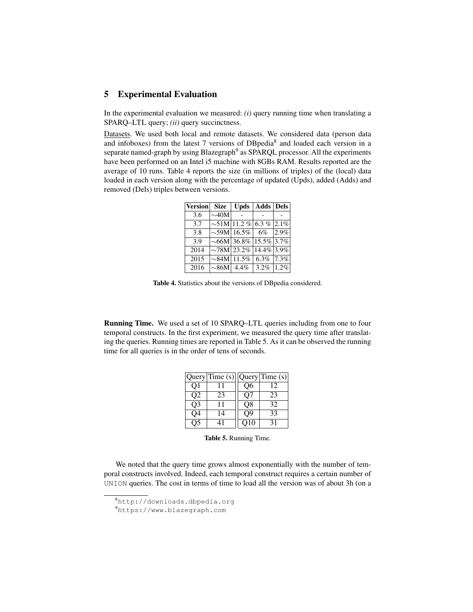## 5 Experimental Evaluation

In the experimental evaluation we measured: *(i)* query running time when translating a SPARQ–LTL query; *(ii)* query succinctness.

Datasets. We used both local and remote datasets. We considered data (person data and infoboxes) from the latest 7 versions of DBpedia<sup>8</sup> and loaded each version in a separate named-graph by using Blazegraph<sup>9</sup> as SPARQL processor. All the experiments have been performed on an Intel i5 machine with 8GBs RAM. Results reported are the average of 10 runs. Table 4 reports the size (in millions of triples) of the (local) data loaded in each version along with the percentage of updated (Upds), added (Adds) and removed (Dels) triples between versions.

| <b>Version</b>    | <b>Size</b> |                                | Upds   Adds   Dels |      |
|-------------------|-------------|--------------------------------|--------------------|------|
| 3.6               | $\sim40M$   |                                |                    |      |
| 3.7               |             | $\sim$ 51M 11.2 % 6.3 % 2.1%   |                    |      |
| 3.8               |             | $\sim$ 59M 16.5%               | 6%                 | 2.9% |
| 3.9               |             | $\sim$ 66M 36.8% 15.5% 3.7%    |                    |      |
| $\overline{201}4$ |             | $\sim$ 78M 23.2% 14.4% 3.9%    |                    |      |
| $\overline{2015}$ |             | $\sim$ 84M 11.5% 6.3% 7.3%     |                    |      |
| 2016              |             | $\sim$ 86M  4.4%   3.2%   1.2% |                    |      |

Table 4. Statistics about the versions of DBpedia considered.

Running Time. We used a set of 10 SPARQ–LTL queries including from one to four temporal constructs. In the first experiment, we measured the query time after translating the queries. Running times are reported in Table 5. As it can be observed the running time for all queries is in the order of tens of seconds.

|                | Query Time $(s)$ |                          | Query Time(s) |
|----------------|------------------|--------------------------|---------------|
| O1             |                  | О6                       | 12            |
| O <sub>2</sub> | 23               | O7                       | 23            |
| O <sub>3</sub> | 11               | O8                       | 32            |
| Q <sub>4</sub> | 14               | $\overline{\mathrm{O}9}$ | 33            |
|                |                  | O10                      | 31            |

Table 5. Running Time.

We noted that the query time grows almost exponentially with the number of temporal constructs involved. Indeed, each temporal construct requires a certain number of UNION queries. The cost in terms of time to load all the version was of about 3h (on a

<sup>8</sup>http://downloads.dbpedia.org

<sup>9</sup>https://www.blazegraph.com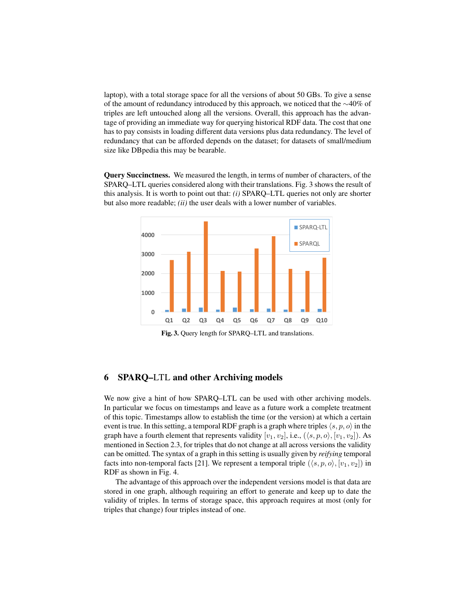laptop), with a total storage space for all the versions of about 50 GBs. To give a sense of the amount of redundancy introduced by this approach, we noticed that the ∼40% of triples are left untouched along all the versions. Overall, this approach has the advantage of providing an immediate way for querying historical RDF data. The cost that one has to pay consists in loading different data versions plus data redundancy. The level of redundancy that can be afforded depends on the dataset; for datasets of small/medium size like DBpedia this may be bearable.

Query Succinctness. We measured the length, in terms of number of characters, of the SPARQ–LTL queries considered along with their translations. Fig. 3 shows the result of this analysis. It is worth to point out that: *(i)* SPARQ–LTL queries not only are shorter but also more readable; *(ii)* the user deals with a lower number of variables.



Fig. 3. Query length for SPARQ–LTL and translations.

## 6 SPARQ–LTL and other Archiving models

We now give a hint of how SPARQ–LTL can be used with other archiving models. In particular we focus on timestamps and leave as a future work a complete treatment of this topic. Timestamps allow to establish the time (or the version) at which a certain event is true. In this setting, a temporal RDF graph is a graph where triples  $\langle s, p, o \rangle$  in the graph have a fourth element that represents validity  $[v_1, v_2]$ , i.e.,  $(\langle s, p, o \rangle, [v_1, v_2])$ . As mentioned in Section 2.3, for triples that do not change at all across versions the validity can be omitted. The syntax of a graph in this setting is usually given by *reifying* temporal facts into non-temporal facts [21]. We represent a temporal triple  $(\langle s, p, o \rangle, [v_1, v_2])$  in RDF as shown in Fig. 4.

The advantage of this approach over the independent versions model is that data are stored in one graph, although requiring an effort to generate and keep up to date the validity of triples. In terms of storage space, this approach requires at most (only for triples that change) four triples instead of one.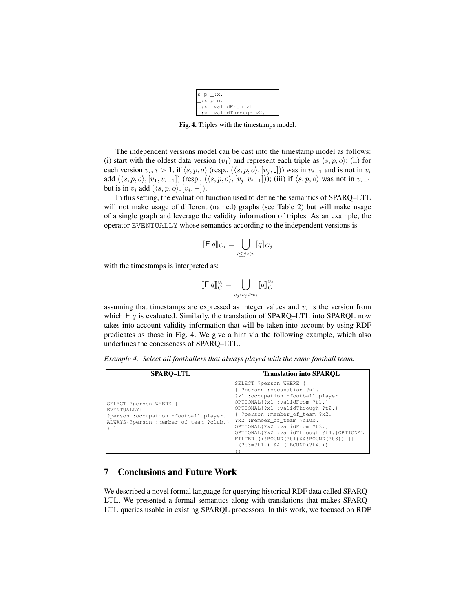| $ s p $ :x.              |                      |
|--------------------------|----------------------|
| $:$ $x \times p \circ$ . |                      |
|                          | _:x :validFrom v1.   |
|                          | :x :validThrough v2. |

Fig. 4. Triples with the timestamps model.

The independent versions model can be cast into the timestamp model as follows: (i) start with the oldest data version  $(v_1)$  and represent each triple as  $\langle s, p, o \rangle$ ; (ii) for each version  $v_i$ ,  $i > 1$ , if  $\langle s, p, o \rangle$  (resp.,  $(\langle s, p, o \rangle, [v_j, \_])$ ) was in  $v_{i-1}$  and is not in  $v_i$ add  $(\langle s, p, o \rangle, [v_1, v_{i-1}])$  (resp.,  $(\langle s, p, o \rangle, [v_i, v_{i-1}])$ ); (iii) if  $\langle s, p, o \rangle$  was not in  $v_{i-1}$ but is in  $v_i$  add  $(\langle s, p, o \rangle, [v_i, -])$ .

In this setting, the evaluation function used to define the semantics of SPARQ–LTL will not make usage of different (named) graphs (see Table 2) but will make usage of a single graph and leverage the validity information of triples. As an example, the operator EVENTUALLY whose semantics according to the independent versions is

$$
[\![\mathsf{F} \, q]\!]_{G_i} = \bigcup_{i \le j < n} [\![q]\!]_{G_j}
$$

with the timestamps is interpreted as:

$$
[\![\mathsf{F} \ q]\!]^{\mathit{v}_i}_{G} = \bigcup_{v_j : v_j \geq v_i} [\![q]\!]^{\mathit{v}_j}_{G}
$$

assuming that timestamps are expressed as integer values and  $v_i$  is the version from which  $F q$  is evaluated. Similarly, the translation of SPARQ–LTL into SPARQL now takes into account validity information that will be taken into account by using RDF predicates as those in Fig. 4. We give a hint via the following example, which also underlines the conciseness of SPARQ–LTL.

*Example 4. Select all footballers that always played with the same football team.*

| <b>SPARO-LTL</b>                                                                                                         | <b>Translation into SPAROL</b>                                                                                                                                                                                                                                                                                                                                                       |
|--------------------------------------------------------------------------------------------------------------------------|--------------------------------------------------------------------------------------------------------------------------------------------------------------------------------------------------------------------------------------------------------------------------------------------------------------------------------------------------------------------------------------|
| SELECT ?person WHERE {<br>EVENTUALLY{<br>?person :occupation :football_player.<br>ALWAYS{?person :member_of_team ?club.} | SELECT ?person WHERE {<br>?person :occupation ?x1.<br>?x1 :occupation :football_player.<br>OPTIONAL{?x1 :validFrom ?t1.}<br>OPTIONAL{?x1 :validThrough ?t2.}<br>{ ?person :member_of_team ?x2.<br>?x2 :member of team ?club.<br>OPTIONAL{?x2 :validFrom ?t3.}<br>OPTIONAL{?x2 :validThrough ?t4.}OPTIONAL<br>FILTER(((!BOUND(?t1)&&!BOUND(?t3))    <br>$(?t3=?t1)$ & $(!BOUND(?t4))$ |

## 7 Conclusions and Future Work

We described a novel formal language for querying historical RDF data called SPARQ– LTL. We presented a formal semantics along with translations that makes SPARQ– LTL queries usable in existing SPARQL processors. In this work, we focused on RDF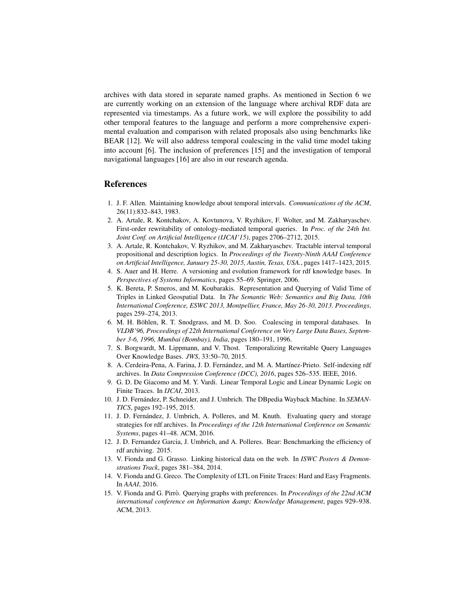archives with data stored in separate named graphs. As mentioned in Section 6 we are currently working on an extension of the language where archival RDF data are represented via timestamps. As a future work, we will explore the possibility to add other temporal features to the language and perform a more comprehensive experimental evaluation and comparison with related proposals also using benchmarks like BEAR [12]. We will also address temporal coalescing in the valid time model taking into account [6]. The inclusion of preferences [15] and the investigation of temporal navigational languages [16] are also in our research agenda.

### References

- 1. J. F. Allen. Maintaining knowledge about temporal intervals. *Communications of the ACM*, 26(11):832–843, 1983.
- 2. A. Artale, R. Kontchakov, A. Kovtunova, V. Ryzhikov, F. Wolter, and M. Zakharyaschev. First-order rewritability of ontology-mediated temporal queries. In *Proc. of the 24th Int. Joint Conf. on Artificial Intelligence (IJCAI'15)*, pages 2706–2712, 2015.
- 3. A. Artale, R. Kontchakov, V. Ryzhikov, and M. Zakharyaschev. Tractable interval temporal propositional and description logics. In *Proceedings of the Twenty-Ninth AAAI Conference on Artificial Intelligence, January 25-30, 2015, Austin, Texas, USA.*, pages 1417–1423, 2015.
- 4. S. Auer and H. Herre. A versioning and evolution framework for rdf knowledge bases. In *Perspectives of Systems Informatics*, pages 55–69. Springer, 2006.
- 5. K. Bereta, P. Smeros, and M. Koubarakis. Representation and Querying of Valid Time of Triples in Linked Geospatial Data. In *The Semantic Web: Semantics and Big Data, 10th International Conference, ESWC 2013, Montpellier, France, May 26-30, 2013. Proceedings*, pages 259–274, 2013.
- 6. M. H. Böhlen, R. T. Snodgrass, and M. D. Soo. Coalescing in temporal databases. In *VLDB'96, Proceedings of 22th International Conference on Very Large Data Bases, September 3-6, 1996, Mumbai (Bombay), India*, pages 180–191, 1996.
- 7. S. Borgwardt, M. Lippmann, and V. Thost. Temporalizing Rewritable Query Languages Over Knowledge Bases. *JWS*, 33:50–70, 2015.
- 8. A. Cerdeira-Pena, A. Farina, J. D. Fernández, and M. A. Martínez-Prieto. Self-indexing rdf archives. In *Data Compression Conference (DCC), 2016*, pages 526–535. IEEE, 2016.
- 9. G. D. De Giacomo and M. Y. Vardi. Linear Temporal Logic and Linear Dynamic Logic on Finite Traces. In *IJCAI*, 2013.
- 10. J. D. Fernández, P. Schneider, and J. Umbrich. The DBpedia Wayback Machine. In *SEMAN*-*TICS*, pages 192–195, 2015.
- 11. J. D. Fernandez, J. Umbrich, A. Polleres, and M. Knuth. Evaluating query and storage ´ strategies for rdf archives. In *Proceedings of the 12th International Conference on Semantic Systems*, pages 41–48. ACM, 2016.
- 12. J. D. Fernandez Garcia, J. Umbrich, and A. Polleres. Bear: Benchmarking the efficiency of rdf archiving. 2015.
- 13. V. Fionda and G. Grasso. Linking historical data on the web. In *ISWC Posters & Demonstrations Track*, pages 381–384, 2014.
- 14. V. Fionda and G. Greco. The Complexity of LTL on Finite Traces: Hard and Easy Fragments. In *AAAI*, 2016.
- 15. V. Fionda and G. Pirro. Querying graphs with preferences. In ` *Proceedings of the 22nd ACM international conference on Information & Knowledge Management*, pages 929–938. ACM, 2013.